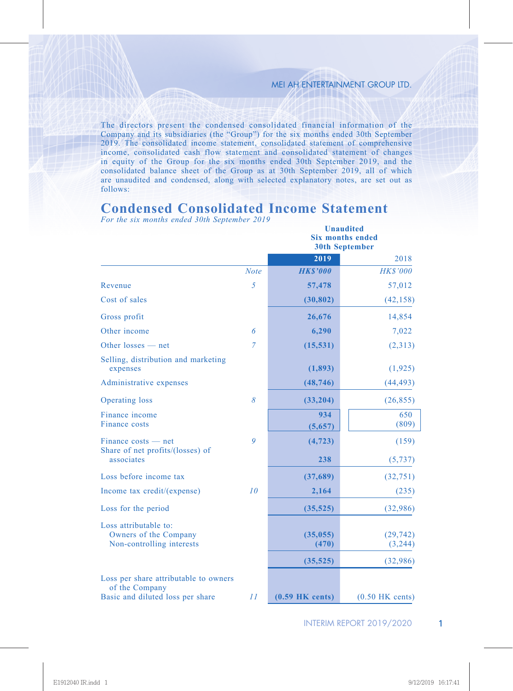The directors present the condensed consolidated financial information of the Company and its subsidiaries (the "Group") for the six months ended 30th September 2019. The consolidated income statement, consolidated statement of comprehensive income, consolidated cash flow statement and consolidated statement of changes in equity of the Group for the six months ended 30th September 2019, and the consolidated balance sheet of the Group as at 30th September 2019, all of which are unaudited and condensed, along with selected explanatory notes, are set out as follows:

## **Condensed Consolidated Income Statement**

|                                                                                             |                | <b>Unaudited</b><br><b>Six months ended</b><br><b>30th September</b> |                      |  |
|---------------------------------------------------------------------------------------------|----------------|----------------------------------------------------------------------|----------------------|--|
|                                                                                             |                | 2019                                                                 | 2018                 |  |
|                                                                                             | <b>Note</b>    | <b>HK\$'000</b>                                                      | <b>HK\$'000</b>      |  |
| Revenue                                                                                     | 5              | 57,478                                                               | 57,012               |  |
| Cost of sales                                                                               |                | (30, 802)                                                            | (42, 158)            |  |
| Gross profit                                                                                |                | 26,676                                                               | 14,854               |  |
| Other income                                                                                | 6              | 6,290                                                                | 7,022                |  |
| Other losses — net                                                                          | $\overline{7}$ | (15, 531)                                                            | (2,313)              |  |
| Selling, distribution and marketing<br>expenses                                             |                | (1, 893)                                                             | (1,925)              |  |
| Administrative expenses                                                                     |                | (48, 746)                                                            | (44, 493)            |  |
| Operating loss                                                                              | 8              | (33,204)                                                             | (26, 855)            |  |
| Finance income<br>Finance costs                                                             |                | 934<br>(5,657)                                                       | 650<br>(809)         |  |
| Finance costs — net<br>Share of net profits/(losses) of                                     | 9              | (4, 723)                                                             | (159)                |  |
| associates                                                                                  |                | 238                                                                  | (5, 737)             |  |
| Loss before income tax                                                                      |                | (37,689)                                                             | (32, 751)            |  |
| Income tax credit/(expense)                                                                 | 10             | 2,164                                                                | (235)                |  |
| Loss for the period                                                                         |                | (35, 525)                                                            | (32,986)             |  |
| Loss attributable to:<br>Owners of the Company<br>Non-controlling interests                 |                | (35, 055)<br>(470)                                                   | (29, 742)<br>(3,244) |  |
|                                                                                             |                | (35,525)                                                             | (32,986)             |  |
| Loss per share attributable to owners<br>of the Company<br>Basic and diluted loss per share | II             | $(0.59$ HK cents)                                                    | $(0.50$ HK cents)    |  |

*For the six months ended 30th September 2019*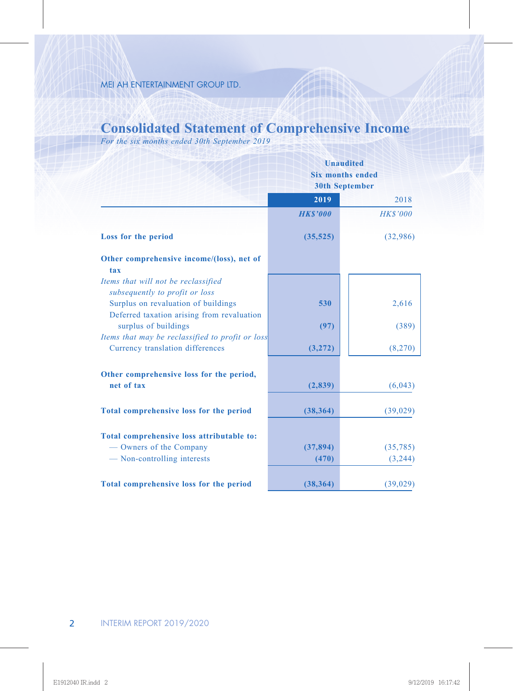## **Consolidated Statement of Comprehensive Income**

*For the six months ended 30th September 2019*

|                                                                                                                     | <b>Unaudited</b><br><b>Six months ended</b><br><b>30th September</b> |                 |  |
|---------------------------------------------------------------------------------------------------------------------|----------------------------------------------------------------------|-----------------|--|
|                                                                                                                     | 2019                                                                 | 2018            |  |
|                                                                                                                     | <b>HK\$'000</b>                                                      | <b>HK\$'000</b> |  |
| Loss for the period                                                                                                 | (35, 525)                                                            | (32,986)        |  |
| Other comprehensive income/(loss), net of<br>tax                                                                    |                                                                      |                 |  |
| Items that will not be reclassified                                                                                 |                                                                      |                 |  |
| subsequently to profit or loss<br>Surplus on revaluation of buildings<br>Deferred taxation arising from revaluation | 530                                                                  | 2,616           |  |
| surplus of buildings                                                                                                | (97)                                                                 | (389)           |  |
| Items that may be reclassified to profit or loss<br>Currency translation differences                                | (3,272)                                                              | (8,270)         |  |
| Other comprehensive loss for the period,                                                                            |                                                                      |                 |  |
| net of tax                                                                                                          | (2,839)                                                              | (6,043)         |  |
| Total comprehensive loss for the period                                                                             | (38, 364)                                                            | (39,029)        |  |
| Total comprehensive loss attributable to:                                                                           |                                                                      |                 |  |
| — Owners of the Company                                                                                             | (37, 894)                                                            | (35, 785)       |  |
| - Non-controlling interests                                                                                         | (470)                                                                | (3,244)         |  |
| Total comprehensive loss for the period                                                                             | (38, 364)                                                            | (39,029)        |  |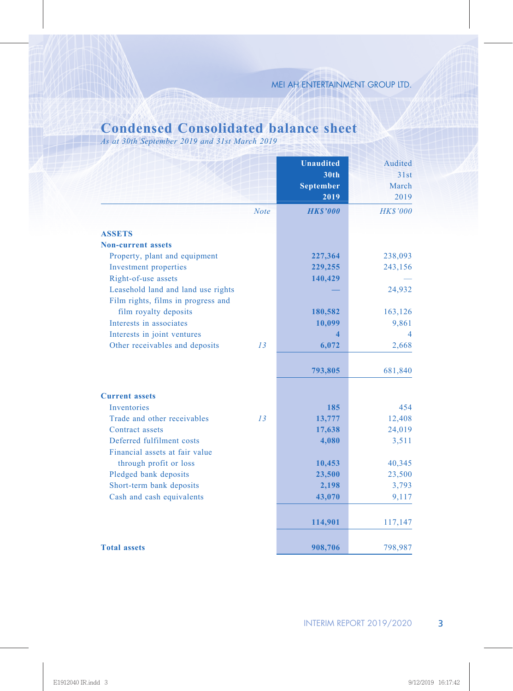# **Condensed Consolidated balance sheet**

*As at 30th September 2019 and 31st March 2019*

|                                    |             | <b>Unaudited</b><br><b>30th</b><br><b>September</b><br>2019 | Audited<br>31st<br>March<br>2019 |
|------------------------------------|-------------|-------------------------------------------------------------|----------------------------------|
|                                    | <b>Note</b> | <b>HKS'000</b>                                              | <b>HK\$'000</b>                  |
| <b>ASSETS</b>                      |             |                                                             |                                  |
| <b>Non-current assets</b>          |             |                                                             |                                  |
| Property, plant and equipment      |             | 227,364                                                     | 238,093                          |
| Investment properties              |             | 229,255                                                     | 243,156                          |
| Right-of-use assets                |             | 140,429                                                     |                                  |
| Leasehold land and land use rights |             |                                                             | 24,932                           |
| Film rights, films in progress and |             |                                                             |                                  |
| film royalty deposits              |             | 180,582                                                     | 163,126                          |
| Interests in associates            |             | 10,099                                                      | 9,861                            |
| Interests in joint ventures        |             | $\overline{\mathbf{4}}$                                     | 4                                |
| Other receivables and deposits     | 13          | 6,072                                                       | 2,668                            |
|                                    |             | 793,805                                                     | 681,840                          |
| <b>Current assets</b>              |             |                                                             |                                  |
| Inventories                        |             | 185                                                         | 454                              |
| Trade and other receivables        | 13          | 13,777                                                      | 12,408                           |
| Contract assets                    |             | 17,638                                                      | 24,019                           |
| Deferred fulfilment costs          |             | 4,080                                                       | 3,511                            |
| Financial assets at fair value     |             |                                                             |                                  |
| through profit or loss             |             | 10,453                                                      | 40,345                           |
| Pledged bank deposits              |             | 23,500                                                      | 23,500                           |
| Short-term bank deposits           |             | 2,198                                                       | 3,793                            |
| Cash and cash equivalents          |             | 43,070                                                      | 9,117                            |
|                                    |             | 114,901                                                     | 117,147                          |
| <b>Total assets</b>                |             | 908,706                                                     | 798,987                          |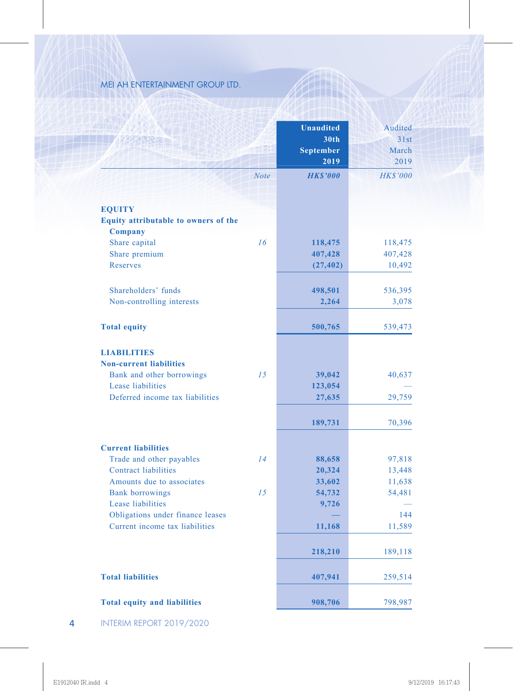|                                                      | <b>Note</b> | <b>Unaudited</b><br><b>30th</b><br><b>September</b><br>2019<br><b>HKS'000</b> | Audited<br>31st<br>March<br>2019<br><b>HK\$'000</b> |
|------------------------------------------------------|-------------|-------------------------------------------------------------------------------|-----------------------------------------------------|
| <b>EQUITY</b>                                        |             |                                                                               |                                                     |
| Equity attributable to owners of the                 |             |                                                                               |                                                     |
| Company<br>Share capital                             | 16          | 118,475                                                                       | 118,475                                             |
| Share premium                                        |             | 407,428                                                                       | 407,428                                             |
| Reserves                                             |             | (27, 402)                                                                     | 10,492                                              |
|                                                      |             |                                                                               |                                                     |
| Shareholders' funds                                  |             | 498,501                                                                       | 536,395                                             |
| Non-controlling interests                            |             | 2,264                                                                         | 3,078                                               |
|                                                      |             |                                                                               |                                                     |
| <b>Total equity</b>                                  |             | 500,765                                                                       | 539,473                                             |
| <b>LIABILITIES</b><br><b>Non-current liabilities</b> |             |                                                                               |                                                     |
| Bank and other borrowings                            | 15          | 39,042                                                                        | 40,637                                              |
| Lease liabilities                                    |             | 123,054                                                                       |                                                     |
| Deferred income tax liabilities                      |             | 27,635                                                                        | 29,759                                              |
|                                                      |             | 189,731                                                                       | 70,396                                              |
| <b>Current liabilities</b>                           |             |                                                                               |                                                     |
| Trade and other payables                             | 14          | 88,658                                                                        | 97,818                                              |
| <b>Contract liabilities</b>                          |             | 20,324                                                                        | 13,448                                              |
| Amounts due to associates                            |             | 33,602                                                                        | 11,638                                              |
| <b>Bank</b> borrowings                               | 15          | 54,732                                                                        | 54,481                                              |
| Lease liabilities                                    |             | 9,726                                                                         |                                                     |
| Obligations under finance leases                     |             |                                                                               | 144                                                 |
| Current income tax liabilities                       |             | 11,168                                                                        | 11,589                                              |
|                                                      |             | 218,210                                                                       | 189,118                                             |
| <b>Total liabilities</b>                             |             | 407,941                                                                       | 259,514                                             |
| <b>Total equity and liabilities</b>                  |             | 908,706                                                                       | 798,987                                             |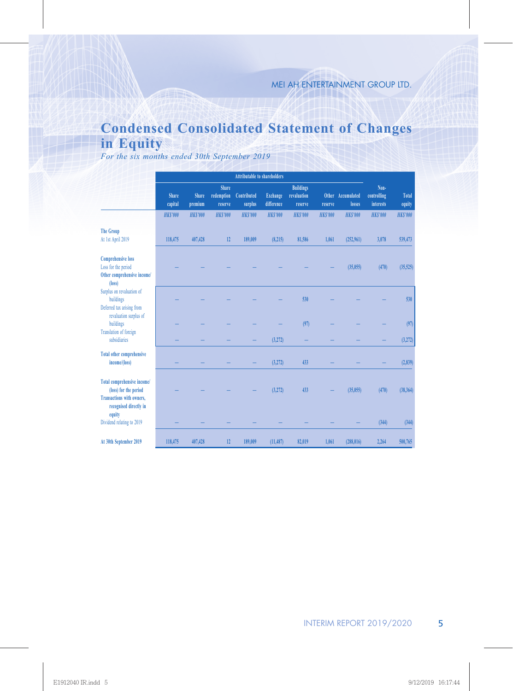# **Condensed Consolidated Statement of Changes in Equity**

*For the six months ended 30th September 2019*

|                                                                                                                    | <b>Attributable to shareholders</b> |                  |                                       |                        |                               |                                            |                |                             |                                         |                 |
|--------------------------------------------------------------------------------------------------------------------|-------------------------------------|------------------|---------------------------------------|------------------------|-------------------------------|--------------------------------------------|----------------|-----------------------------|-----------------------------------------|-----------------|
|                                                                                                                    | Share<br>capital                    | Share<br>premium | <b>Share</b><br>redemption<br>reserve | Contributed<br>surplus | <b>Exchange</b><br>difference | <b>Buildings</b><br>revaluation<br>reserve | reserve        | Other Accumulated<br>losses | Non-<br>controlling<br><i>interests</i> | Total<br>equity |
|                                                                                                                    | <b>HKS'000</b>                      | <b>HKS'000</b>   | <b>HKS'000</b>                        | <b>HKS'000</b>         | <b>HKS'000</b>                | <b>HKS'000</b>                             | <b>HKS'000</b> | <b>HKS'000</b>              | <b>HKS'000</b>                          | <b>HKS'000</b>  |
| <b>The Group</b><br>At 1st April 2019                                                                              | 118,475                             | 407,428          | 12                                    | 189,009                | (8.215)                       | 81,586                                     | 1,061          | (252.961)                   | 3,078                                   | 539,473         |
| <b>Comprehensive loss</b><br>Loss for the period<br>Other comprehensive income/<br>$(\text{loss})$                 |                                     |                  |                                       |                        |                               |                                            |                | (35,055)                    | (470)                                   | (35,525)        |
| Surplus on revaluation of<br>buildings<br>Deferred tax arising from<br>revaluation surplus of                      |                                     |                  |                                       |                        |                               | 530                                        |                |                             |                                         | 530             |
| buildings                                                                                                          |                                     |                  |                                       |                        |                               | (97)                                       |                |                             |                                         | (97)            |
| Translation of foreign<br>subsidiaries                                                                             |                                     |                  |                                       |                        | (3,272)                       |                                            |                |                             |                                         | (3,272)         |
| <b>Total other comprehensive</b><br>income/(loss)                                                                  |                                     |                  |                                       |                        | (3,272)                       | 433                                        |                |                             |                                         | (2, 839)        |
| Total comprehensive income/<br>(loss) for the period<br><b>Transactions with owners.</b><br>recognised directly in |                                     |                  |                                       |                        | (3,272)                       | 433                                        |                | (35,055)                    | (470)                                   | (38, 364)       |
| equity<br>Dividend relating to 2019                                                                                |                                     |                  |                                       |                        |                               |                                            |                |                             | (344)                                   | (344)           |
| At 30th September 2019                                                                                             | 118,475                             | 407,428          | 12                                    | 189,009                | (11, 487)                     | 82,019                                     | 1,061          | (288, 016)                  | 2,264                                   | 500,765         |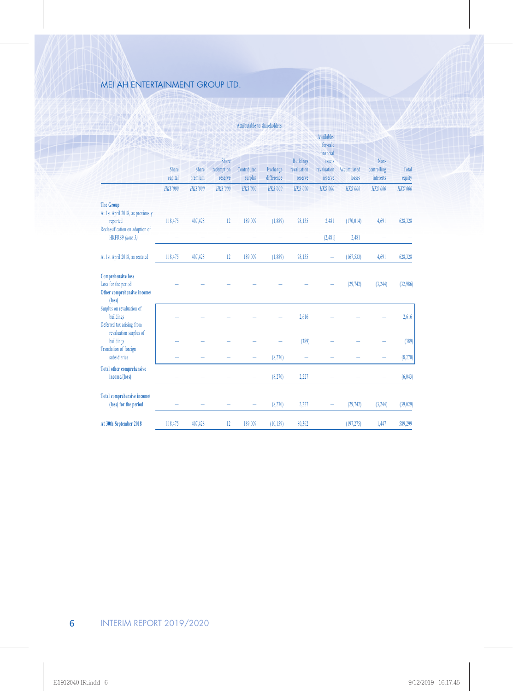Attributable to shareholders

|                                                                                                    | Share<br>capital | Share<br>premium | Share<br>redemption<br>reserve | Contributed<br>surplus | Exchange<br>difference | <b>Buildings</b><br>revaluation<br>reserve | Available-<br>for-sale<br>financial<br>assets<br>revaluation<br>reserve | Accumulated<br>losses | Non-<br>controlling<br>interests | Total<br>equity |
|----------------------------------------------------------------------------------------------------|------------------|------------------|--------------------------------|------------------------|------------------------|--------------------------------------------|-------------------------------------------------------------------------|-----------------------|----------------------------------|-----------------|
|                                                                                                    | <b>HKS'000</b>   | <b>HKS'000</b>   | <b>HKS'000</b>                 | <b>HKS'000</b>         | <b>HK\$'000</b>        | <b>HKS'000</b>                             | <b>HKS'000</b>                                                          | <b>HK\$'000</b>       | <b>HK\$'000</b>                  | <b>HKS'000</b>  |
| <b>The Group</b><br>At 1st April 2018, as previously                                               |                  |                  |                                |                        |                        |                                            |                                                                         |                       |                                  |                 |
| reported<br>Reclassification on adoption of                                                        | 118,475          | 407,428          | 12                             | 189,009                | (1,889)                | 78,135                                     | 2,481                                                                   | (170.014)             | 4,691                            | 628,328         |
| HKFRS9 (note 3)                                                                                    |                  |                  |                                |                        |                        |                                            | (2,481)                                                                 | 2,481                 |                                  |                 |
| At 1st April 2018, as restated                                                                     | 118,475          | 407,428          | 12                             | 189,009                | (1,889)                | 78,135                                     |                                                                         | (167, 533)            | 4,691                            | 628,328         |
| <b>Comprehensive loss</b><br>Loss for the period<br>Other comprehensive income/<br>$(\text{loss})$ |                  |                  |                                |                        |                        |                                            |                                                                         | (29, 742)             | (3,244)                          | (32,986)        |
| Surplus on revaluation of<br>buildings<br>Deferred tax arising from                                |                  |                  |                                |                        |                        | 2,616                                      |                                                                         |                       |                                  | 2,616           |
| revaluation surplus of<br>buildings                                                                |                  |                  |                                |                        |                        | (389)                                      |                                                                         |                       |                                  | (389)           |
| Translation of foreign<br>subsidiaries                                                             |                  |                  |                                |                        | (8.270)                |                                            |                                                                         |                       |                                  | (8,270)         |
| <b>Total other comprehensive</b><br>income/(loss)                                                  |                  |                  |                                |                        | (8,270)                | 2,227                                      |                                                                         |                       |                                  | (6.043)         |
| Total comprehensive income/<br>(loss) for the period                                               |                  |                  |                                |                        | (8,270)                | 2,227                                      |                                                                         | (29, 742)             | (3, 244)                         | (39, 029)       |
| At 30th September 2018                                                                             | 118,475          | 407,428          | 12                             | 189,009                | (10.159)               | 80,362                                     |                                                                         | (197.275)             | 1,447                            | 589,299         |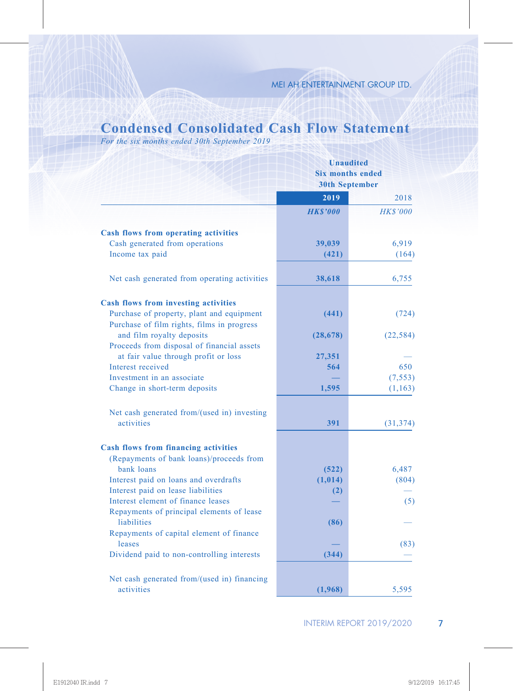# **Condensed Consolidated Cash Flow Statement**

*For the six months ended 30th September 2019*

|                                              | <b>Unaudited</b><br><b>Six months ended</b><br><b>30th September</b> |                 |  |
|----------------------------------------------|----------------------------------------------------------------------|-----------------|--|
|                                              | 2019                                                                 | 2018            |  |
|                                              | <b>HKS'000</b>                                                       | <b>HK\$'000</b> |  |
| <b>Cash flows from operating activities</b>  |                                                                      |                 |  |
| Cash generated from operations               | 39,039                                                               | 6,919           |  |
| Income tax paid                              | (421)                                                                | (164)           |  |
| Net cash generated from operating activities | 38,618                                                               | 6,755           |  |
| <b>Cash flows from investing activities</b>  |                                                                      |                 |  |
| Purchase of property, plant and equipment    | (441)                                                                | (724)           |  |
| Purchase of film rights, films in progress   |                                                                      |                 |  |
| and film royalty deposits                    | (28, 678)                                                            | (22, 584)       |  |
| Proceeds from disposal of financial assets   |                                                                      |                 |  |
| at fair value through profit or loss         | 27,351                                                               |                 |  |
| Interest received                            | 564                                                                  | 650             |  |
| Investment in an associate                   |                                                                      | (7, 553)        |  |
| Change in short-term deposits                | 1,595                                                                | (1, 163)        |  |
| Net cash generated from/(used in) investing  |                                                                      |                 |  |
| activities                                   | 391                                                                  | (31, 374)       |  |
| <b>Cash flows from financing activities</b>  |                                                                      |                 |  |
| (Repayments of bank loans)/proceeds from     |                                                                      |                 |  |
| bank loans                                   | (522)                                                                | 6,487           |  |
| Interest paid on loans and overdrafts        | (1, 014)                                                             | (804)           |  |
| Interest paid on lease liabilities           | (2)                                                                  |                 |  |
| Interest element of finance leases           |                                                                      | (5)             |  |
| Repayments of principal elements of lease    |                                                                      |                 |  |
| liabilities                                  | (86)                                                                 |                 |  |
| Repayments of capital element of finance     |                                                                      |                 |  |
| leases                                       |                                                                      | (83)            |  |
| Dividend paid to non-controlling interests   | (344)                                                                |                 |  |
| Net cash generated from/(used in) financing  |                                                                      |                 |  |
| activities                                   | (1,968)                                                              | 5,595           |  |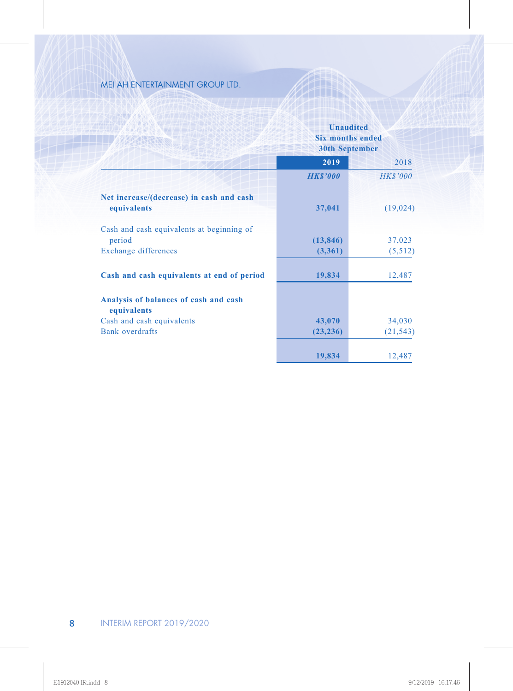|                                                         |                   | <b>Unaudited</b><br><b>Six months ended</b><br><b>30th September</b> |
|---------------------------------------------------------|-------------------|----------------------------------------------------------------------|
|                                                         | $20\overline{19}$ | 2018                                                                 |
|                                                         | <b>HKS'000</b>    | <b>HK\$'000</b>                                                      |
| Net increase/(decrease) in cash and cash<br>equivalents | 37,041            | (19, 024)                                                            |
| Cash and cash equivalents at beginning of<br>period     | (13, 846)         | 37,023                                                               |
| Exchange differences                                    | (3,361)           | (5,512)                                                              |
| Cash and cash equivalents at end of period              | 19,834            | 12,487                                                               |
| Analysis of balances of cash and cash<br>equivalents    |                   |                                                                      |
| Cash and cash equivalents                               | 43,070            | 34,030                                                               |
| Bank overdrafts                                         | (23, 236)         | (21, 543)                                                            |
|                                                         | 19,834            | 12,487                                                               |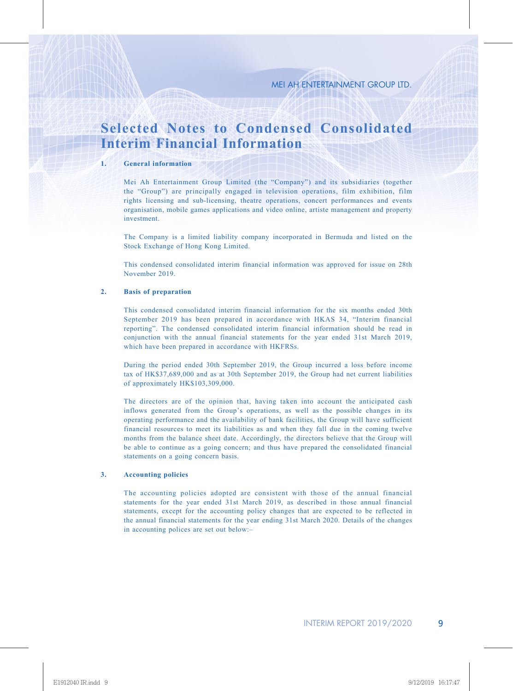# **Selected Notes to Condensed Consolidated Interim Financial Information**

#### **1. General information**

Mei Ah Entertainment Group Limited (the "Company") and its subsidiaries (together the "Group") are principally engaged in television operations, film exhibition, film rights licensing and sub-licensing, theatre operations, concert performances and events organisation, mobile games applications and video online, artiste management and property investment.

The Company is a limited liability company incorporated in Bermuda and listed on the Stock Exchange of Hong Kong Limited.

This condensed consolidated interim financial information was approved for issue on 28th November 2019.

#### **2. Basis of preparation**

This condensed consolidated interim financial information for the six months ended 30th September 2019 has been prepared in accordance with HKAS 34, "Interim financial reporting". The condensed consolidated interim financial information should be read in conjunction with the annual financial statements for the year ended 31st March 2019, which have been prepared in accordance with HKFRSs.

During the period ended 30th September 2019, the Group incurred a loss before income tax of HK\$37,689,000 and as at 30th September 2019, the Group had net current liabilities of approximately HK\$103,309,000.

The directors are of the opinion that, having taken into account the anticipated cash inflows generated from the Group's operations, as well as the possible changes in its operating performance and the availability of bank facilities, the Group will have sufficient financial resources to meet its liabilities as and when they fall due in the coming twelve months from the balance sheet date. Accordingly, the directors believe that the Group will be able to continue as a going concern; and thus have prepared the consolidated financial statements on a going concern basis.

#### **3. Accounting policies**

The accounting policies adopted are consistent with those of the annual financial statements for the year ended 31st March 2019, as described in those annual financial statements, except for the accounting policy changes that are expected to be reflected in the annual financial statements for the year ending 31st March 2020. Details of the changes in accounting polices are set out below:–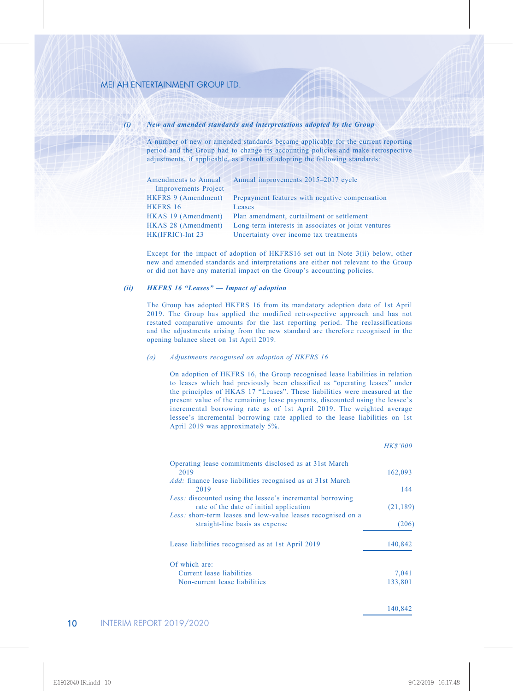#### *(i) New and amended standards and interpretations adopted by the Group*

A number of new or amended standards became applicable for the current reporting period and the Group had to change its accounting policies and make retrospective adjustments, if applicable, as a result of adopting the following standards:

| Amendments to Annual        | Annual improvements 2015–2017 cycle                 |
|-----------------------------|-----------------------------------------------------|
| <b>Improvements Project</b> |                                                     |
| HKFRS 9 (Amendment)         | Prepayment features with negative compensation      |
| <b>HKFRS 16</b>             | Leases                                              |
| HKAS 19 (Amendment)         | Plan amendment, curtailment or settlement           |
| HKAS 28 (Amendment)         | Long-term interests in associates or joint ventures |
| HK(IFRIC)-Int 23            | Uncertainty over income tax treatments              |

Except for the impact of adoption of HKFRS16 set out in Note 3(ii) below, other new and amended standards and interpretations are either not relevant to the Group or did not have any material impact on the Group's accounting policies.

#### *(ii) HKFRS 16 "Leases" — Impact of adoption*

The Group has adopted HKFRS 16 from its mandatory adoption date of 1st April 2019. The Group has applied the modified retrospective approach and has not restated comparative amounts for the last reporting period. The reclassifications and the adjustments arising from the new standard are therefore recognised in the opening balance sheet on 1st April 2019.

#### *(a) Adjustments recognised on adoption of HKFRS 16*

On adoption of HKFRS 16, the Group recognised lease liabilities in relation to leases which had previously been classified as "operating leases" under the principles of HKAS 17 "Leases". These liabilities were measured at the present value of the remaining lease payments, discounted using the lessee's incremental borrowing rate as of 1st April 2019. The weighted average lessee's incremental borrowing rate applied to the lease liabilities on 1st April 2019 was approximately 5%.

| HAS VVV   |
|-----------|
|           |
| 162,093   |
|           |
| 144       |
|           |
| (21, 189) |
|           |
| (206)     |
| 140,842   |
|           |
| 7.041     |
| 133,801   |
|           |

140,842

 $H\rightarrow 0.00$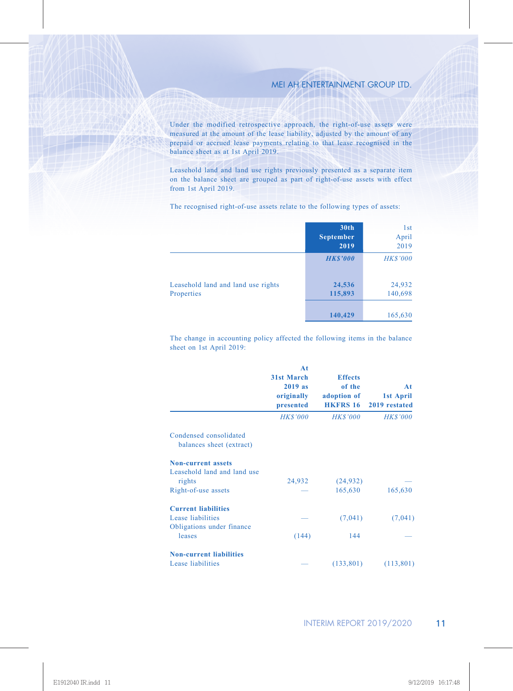Under the modified retrospective approach, the right-of-use assets were measured at the amount of the lease liability, adjusted by the amount of any prepaid or accrued lease payments relating to that lease recognised in the balance sheet as at 1st April 2019.

Leasehold land and land use rights previously presented as a separate item on the balance sheet are grouped as part of right-of-use assets with effect from 1st April 2019.

The recognised right-of-use assets relate to the following types of assets:

|                                                  | 30 <sub>th</sub><br>September<br>2019 | 1st<br>April<br>2019 |
|--------------------------------------------------|---------------------------------------|----------------------|
|                                                  | <b>HK\$'000</b>                       | <b>HK\$'000</b>      |
| Leasehold land and land use rights<br>Properties | 24,536<br>115,893                     | 24,932<br>140,698    |
|                                                  | 140,429                               | 165,630              |

The change in accounting policy affected the following items in the balance sheet on 1st April 2019:

|                                                    | At<br>31st March<br>$2019$ as<br>originally<br>presented | <b>Effects</b><br>of the<br>adoption of<br><b>HKFRS 16</b> | At<br>1st April<br>2019 restated |
|----------------------------------------------------|----------------------------------------------------------|------------------------------------------------------------|----------------------------------|
|                                                    | <b>HK\$'000</b>                                          | <b>HK\$'000</b>                                            | <b>HK\$'000</b>                  |
| Condensed consolidated<br>balances sheet (extract) |                                                          |                                                            |                                  |
| <b>Non-current assets</b>                          |                                                          |                                                            |                                  |
| Leasehold land and land use<br>rights              | 24,932                                                   | (24, 932)                                                  |                                  |
| Right-of-use assets                                |                                                          | 165,630                                                    | 165,630                          |
| <b>Current liabilities</b>                         |                                                          |                                                            |                                  |
| Lease liabilities                                  |                                                          | (7,041)                                                    | (7,041)                          |
| Obligations under finance<br>leases                | (144)                                                    | 144                                                        |                                  |
| <b>Non-current liabilities</b>                     |                                                          |                                                            |                                  |
| Lease liabilities                                  |                                                          | (133, 801)                                                 | (113, 801)                       |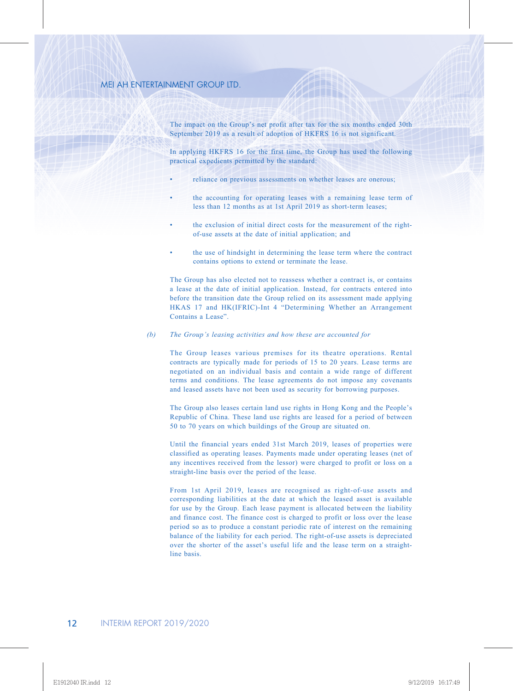The impact on the Group's net profit after tax for the six months ended 30th September 2019 as a result of adoption of HKFRS 16 is not significant.

In applying HKFRS 16 for the first time, the Group has used the following practical expedients permitted by the standard:

- reliance on previous assessments on whether leases are onerous;
- the accounting for operating leases with a remaining lease term of less than 12 months as at 1st April 2019 as short-term leases;
- the exclusion of initial direct costs for the measurement of the rightof-use assets at the date of initial application; and
- the use of hindsight in determining the lease term where the contract contains options to extend or terminate the lease.

The Group has also elected not to reassess whether a contract is, or contains a lease at the date of initial application. Instead, for contracts entered into before the transition date the Group relied on its assessment made applying HKAS 17 and HK(IFRIC)-Int 4 "Determining Whether an Arrangement Contains a Lease".

#### *(b) The Group's leasing activities and how these are accounted for*

The Group leases various premises for its theatre operations. Rental contracts are typically made for periods of 15 to 20 years. Lease terms are negotiated on an individual basis and contain a wide range of different terms and conditions. The lease agreements do not impose any covenants and leased assets have not been used as security for borrowing purposes.

The Group also leases certain land use rights in Hong Kong and the People's Republic of China. These land use rights are leased for a period of between 50 to 70 years on which buildings of the Group are situated on.

Until the financial years ended 31st March 2019, leases of properties were classified as operating leases. Payments made under operating leases (net of any incentives received from the lessor) were charged to profit or loss on a straight-line basis over the period of the lease.

From 1st April 2019, leases are recognised as right-of-use assets and corresponding liabilities at the date at which the leased asset is available for use by the Group. Each lease payment is allocated between the liability and finance cost. The finance cost is charged to profit or loss over the lease period so as to produce a constant periodic rate of interest on the remaining balance of the liability for each period. The right-of-use assets is depreciated over the shorter of the asset's useful life and the lease term on a straightline basis.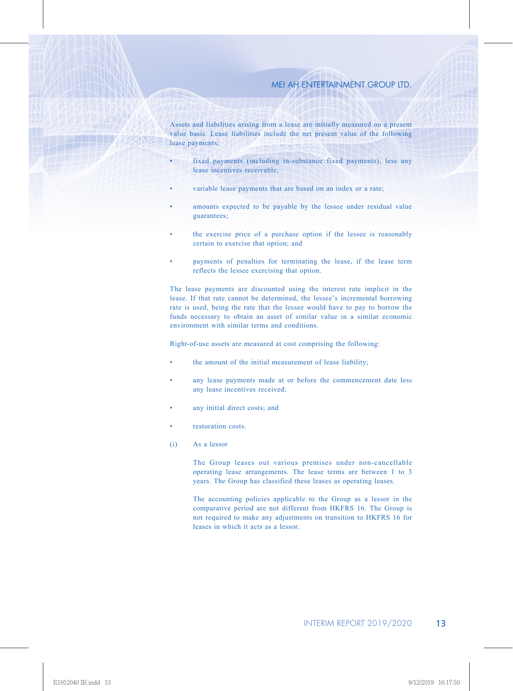Assets and liabilities arising from a lease are initially measured on a present value basis. Lease liabilities include the net present value of the following lease payments:

- fixed payments (including in-substance fixed payments), less any lease incentives receivable;
- variable lease payments that are based on an index or a rate;
- amounts expected to be payable by the lessee under residual value guarantees;
- the exercise price of a purchase option if the lessee is reasonably certain to exercise that option; and
- payments of penalties for terminating the lease, if the lease term reflects the lessee exercising that option.

The lease payments are discounted using the interest rate implicit in the lease. If that rate cannot be determined, the lessee's incremental borrowing rate is used, being the rate that the lessee would have to pay to borrow the funds necessary to obtain an asset of similar value in a similar economic environment with similar terms and conditions.

Right-of-use assets are measured at cost comprising the following:

- the amount of the initial measurement of lease liability;
- any lease payments made at or before the commencement date less any lease incentives received;
- any initial direct costs; and
- restoration costs.
- (i) As a lessor

The Group leases out various premises under non-cancellable operating lease arrangements. The lease terms are between 1 to 3 years. The Group has classified these leases as operating leases.

The accounting policies applicable to the Group as a lessor in the comparative period are not different from HKFRS 16. The Group is not required to make any adjustments on transition to HKFRS 16 for leases in which it acts as a lessor.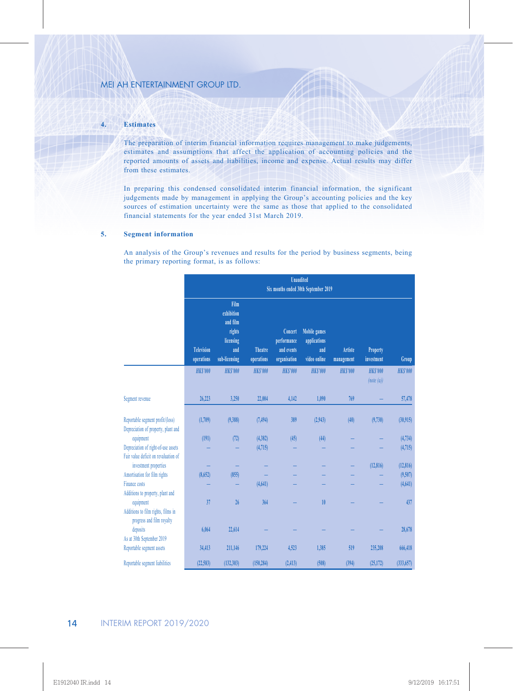#### **4. Estimates**

The preparation of interim financial information requires management to make judgements, estimates and assumptions that affect the application of accounting policies and the reported amounts of assets and liabilities, income and expense. Actual results may differ from these estimates.

In preparing this condensed consolidated interim financial information, the significant judgements made by management in applying the Group's accounting policies and the key sources of estimation uncertainty were the same as those that applied to the consolidated financial statements for the year ended 31st March 2019.

#### **5. Segment information**

An analysis of the Group's revenues and results for the period by business segments, being the primary reporting format, is as follows:

|                                                                              | <b>Unaudited</b><br>Six months ended 30th September 2019 |                                                                               |                              |                                                      |                                                            |                       |                               |                |
|------------------------------------------------------------------------------|----------------------------------------------------------|-------------------------------------------------------------------------------|------------------------------|------------------------------------------------------|------------------------------------------------------------|-----------------------|-------------------------------|----------------|
|                                                                              | <b>Television</b><br>operations                          | Film<br>exhibition<br>and film<br>rights<br>licensing<br>and<br>sub-licensing | <b>Theatre</b><br>operations | Concert<br>performance<br>and events<br>organisation | <b>Mobile games</b><br>applications<br>and<br>video online | Artiste<br>management | <b>Property</b><br>investment | Group          |
|                                                                              | <b>HKS'000</b>                                           | <b>HKS'000</b>                                                                | <b>HKS'000</b>               | <b>HKS'000</b>                                       | <b>HKS'000</b>                                             | <b>HKS'000</b>        | <b>HKS'000</b><br>(note(a))   | <b>HKS'000</b> |
| Segment revenue                                                              | 26,223                                                   | 3,250                                                                         | 22,004                       | 4.142                                                | 1.090                                                      | 769                   |                               | 57,478         |
| Reportable segment profit/(loss)<br>Depreciation of property, plant and      | (1,709)                                                  | (9,388)                                                                       | (7, 494)                     | 389                                                  | (2,943)                                                    | (40)                  | (9,730)                       | (30, 915)      |
| equipment                                                                    | (191)                                                    | (72)                                                                          | (4.382)                      | (45)                                                 | (44)                                                       |                       |                               | (4,734)        |
| Depreciation of right-of-use assets<br>Fair value deficit on revaluation of  |                                                          |                                                                               | (4,715)                      |                                                      |                                                            |                       |                               | (4,715)        |
| investment properties                                                        |                                                          |                                                                               |                              |                                                      |                                                            |                       | (12, 816)                     | (12, 816)      |
| Amortisation for film rights                                                 | (8,652)                                                  | (855)                                                                         |                              |                                                      |                                                            |                       |                               | (9,507)        |
| Finance costs<br>Additions to property, plant and                            |                                                          |                                                                               | (4,641)                      |                                                      |                                                            |                       |                               | (4, 641)       |
| equipment<br>Additions to film rights, films in<br>progress and film royalty | 37                                                       | 26                                                                            | 364                          |                                                      | 10                                                         |                       |                               | 437            |
| deposits<br>As at 30th September 2019                                        | 6,064                                                    | 22,614                                                                        |                              |                                                      |                                                            |                       |                               | 28,678         |
| Reportable segment assets                                                    | 34,413                                                   | 211,146                                                                       | 179,224                      | 4,523                                                | 1,385                                                      | 519                   | 235,208                       | 666,418        |
| Reportable segment liabilities                                               | (22, 583)                                                | (132, 303)                                                                    | (150, 284)                   | (2,413)                                              | (508)                                                      | (394)                 | (25, 172)                     | (333, 657)     |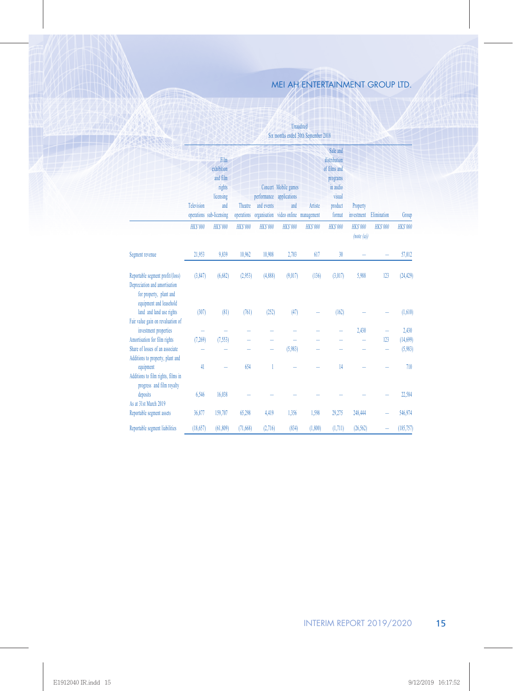|                                                                                                                         | Television     | Film<br>exhibition<br>and film<br>rights<br>licensing<br>and<br>operations sub-licensing | Theatre<br>operations | and events     | Concert Mobile games<br>performance applications<br>and<br>organisation video online management | Artiste        | Sale and<br>distribution<br>of films and<br>programs<br>in audio<br>visual<br>product<br>format | Property<br>investment      | Elimination    | Group          |
|-------------------------------------------------------------------------------------------------------------------------|----------------|------------------------------------------------------------------------------------------|-----------------------|----------------|-------------------------------------------------------------------------------------------------|----------------|-------------------------------------------------------------------------------------------------|-----------------------------|----------------|----------------|
|                                                                                                                         | <b>HKS'000</b> | <b>HKS'000</b>                                                                           | <b>HKS'000</b>        | <b>HKS'000</b> | <b>HKS'000</b>                                                                                  | <b>HKS'000</b> | <b>HKS'000</b>                                                                                  | <b>HKS'000</b><br>(note(a)) | <b>HKS'000</b> | <b>HKS'000</b> |
| Segment revenue                                                                                                         | 21,953         | 9.839                                                                                    | 10,962                | 10.908         | 2,703                                                                                           | 617            | 30                                                                                              |                             |                | 57,012         |
| Reportable segment profit/(loss)<br>Depreciation and amortisation<br>for property, plant and<br>equipment and leasehold | (3, 847)       | (6,682)                                                                                  | (2.953)               | (4,888)        | (9.017)                                                                                         | (136)          | (3.017)                                                                                         | 5.988                       | 123            | (24, 429)      |
| land and land use rights<br>Fair value gain on revaluation of                                                           | (307)          | (81)                                                                                     | (761)                 | (252)          | (47)                                                                                            |                | (162)                                                                                           |                             |                | (1,610)        |
| investment properties                                                                                                   |                |                                                                                          |                       |                |                                                                                                 |                |                                                                                                 | 2,430                       | 2              | 2,430          |
| Amortisation for film rights                                                                                            | (7, 269)       | (7,553)                                                                                  |                       |                |                                                                                                 |                |                                                                                                 |                             | 123            | (14,699)       |
| Share of losses of an associate                                                                                         |                |                                                                                          |                       |                | (5,983)                                                                                         |                |                                                                                                 |                             | -              | (5,983)        |
| Additions to property, plant and<br>equipment<br>Additions to film rights, films in                                     | 41             |                                                                                          | 654                   |                |                                                                                                 |                | 14                                                                                              |                             |                | 710            |
| progress and film royalty<br>deposits<br>As at 31st March 2019                                                          | 6,546          | 16.038                                                                                   |                       |                |                                                                                                 |                |                                                                                                 |                             |                | 22,584         |
| Reportable segment assets                                                                                               | 36,877         | 159,707                                                                                  | 65,298                | 4,419          | 1,356                                                                                           | 1.598          | 29,275                                                                                          | 248,444                     |                | 546.974        |
| Reportable segment liabilities                                                                                          | (18, 657)      | (61, 809)                                                                                | (71,668)              | (2,716)        | (834)                                                                                           | (1, 800)       | (1.711)                                                                                         | (26, 562)                   |                | (185, 757)     |

Unaudited Six months ended 30th September 2018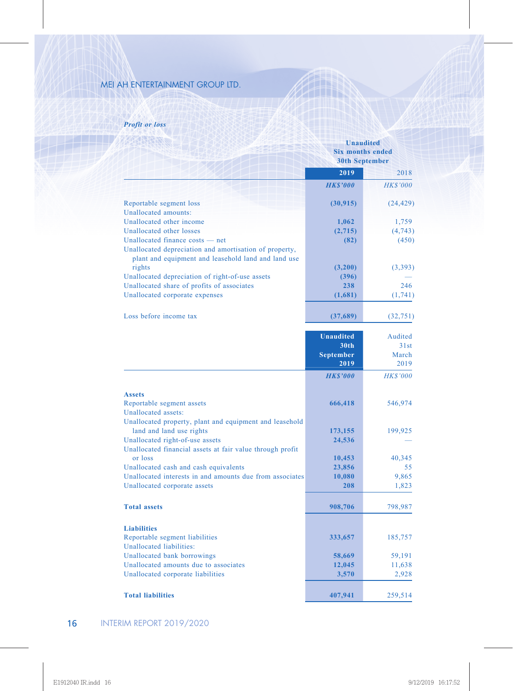#### *Profit or loss*

|                                                                                                               | <b>Unaudited</b><br><b>Six months ended</b><br><b>30th September</b> |                 |  |
|---------------------------------------------------------------------------------------------------------------|----------------------------------------------------------------------|-----------------|--|
|                                                                                                               | 2019                                                                 | 2018            |  |
|                                                                                                               | <b>HKS'000</b>                                                       | <b>HK\$'000</b> |  |
| Reportable segment loss                                                                                       | (30, 915)                                                            | (24, 429)       |  |
| Unallocated amounts:                                                                                          |                                                                      |                 |  |
| Unallocated other income                                                                                      | 1,062                                                                | 1,759           |  |
| Unallocated other losses                                                                                      | (2,715)                                                              | (4, 743)        |  |
| Unallocated finance costs — net                                                                               | (82)                                                                 | (450)           |  |
| Unallocated depreciation and amortisation of property,<br>plant and equipment and leasehold land and land use |                                                                      |                 |  |
| rights                                                                                                        | (3,200)                                                              | (3,393)         |  |
| Unallocated depreciation of right-of-use assets                                                               | (396)                                                                |                 |  |
| Unallocated share of profits of associates                                                                    | 238                                                                  | 246             |  |
| Unallocated corporate expenses                                                                                | (1,681)                                                              | (1,741)         |  |
| Loss before income tax                                                                                        | (37,689)                                                             | (32, 751)       |  |

|                                                           | <b>Unaudited</b><br>30th<br><b>September</b><br>2019 | Audited<br>31st<br>March<br>2019 |
|-----------------------------------------------------------|------------------------------------------------------|----------------------------------|
|                                                           | <b>HKS'000</b>                                       | <b>HK\$'000</b>                  |
| <b>Assets</b>                                             |                                                      |                                  |
| Reportable segment assets                                 | 666,418                                              | 546,974                          |
| Unallocated assets:                                       |                                                      |                                  |
| Unallocated property, plant and equipment and leasehold   |                                                      |                                  |
| land and land use rights                                  | 173,155                                              | 199,925                          |
| Unallocated right-of-use assets                           | 24,536                                               |                                  |
| Unallocated financial assets at fair value through profit |                                                      |                                  |
| or loss                                                   | 10,453                                               | 40,345                           |
| Unallocated cash and cash equivalents                     | 23,856                                               | 55                               |
| Unallocated interests in and amounts due from associates  | 10,080                                               | 9,865                            |
| Unallocated corporate assets                              | 208                                                  | 1,823                            |
| <b>Total assets</b>                                       | 908,706                                              | 798,987                          |
| <b>Liabilities</b>                                        |                                                      |                                  |
| Reportable segment liabilities                            | 333,657                                              | 185,757                          |
| Unallocated liabilities:                                  |                                                      |                                  |
| Unallocated bank borrowings                               | 58,669                                               | 59,191                           |
| Unallocated amounts due to associates                     | 12,045                                               | 11,638                           |
| Unallocated corporate liabilities                         | 3,570                                                | 2,928                            |
| <b>Total liabilities</b>                                  | 407,941                                              | 259,514                          |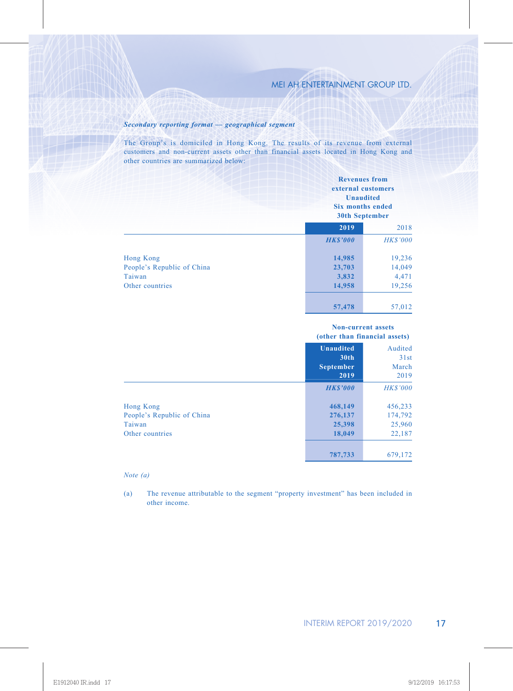#### *Secondary reporting format — geographical segment*

The Group's is domiciled in Hong Kong. The results of its revenue from external customers and non-current assets other than financial assets located in Hong Kong and other countries are summarized below:

|                            |                 | <b>Revenues</b> from<br>external customers<br><b>Unaudited</b><br>Six months ended<br><b>30th September</b> |  |  |
|----------------------------|-----------------|-------------------------------------------------------------------------------------------------------------|--|--|
|                            | 2019            | 2018                                                                                                        |  |  |
|                            | <b>HK\$'000</b> | <b>HK\$'000</b>                                                                                             |  |  |
| Hong Kong                  | 14,985          | 19,236                                                                                                      |  |  |
| People's Republic of China | 23,703          | 14,049                                                                                                      |  |  |
| Taiwan                     | 3,832           | 4,471                                                                                                       |  |  |
| Other countries            | 14,958          | 19,256                                                                                                      |  |  |
|                            | 57,478          | 57,012                                                                                                      |  |  |

#### **Non-current assets (other than financial assets)**

|                                                                      | <b>Unaudited</b><br>30 <sub>th</sub><br><b>September</b><br>2019 | Audited<br>31st<br>March<br>2019       |
|----------------------------------------------------------------------|------------------------------------------------------------------|----------------------------------------|
|                                                                      | <b>HK\$'000</b>                                                  | <b>HK\$'000</b>                        |
| Hong Kong<br>People's Republic of China<br>Taiwan<br>Other countries | 468,149<br>276,137<br>25,398<br>18,049                           | 456,233<br>174,792<br>25,960<br>22,187 |
|                                                                      | 787,733                                                          | 679,172                                |

#### *Note (a)*

(a) The revenue attributable to the segment "property investment" has been included in other income.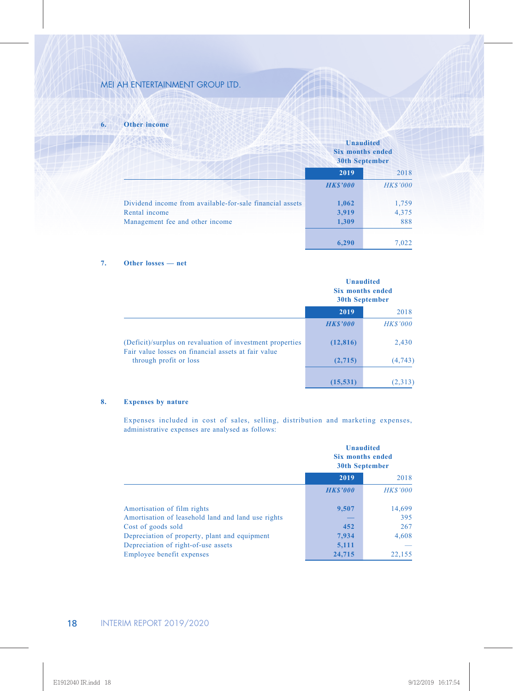**6. Other income**

|                                                          | <b>Unaudited</b><br><b>Six months ended</b><br><b>30th September</b> |                 |
|----------------------------------------------------------|----------------------------------------------------------------------|-----------------|
|                                                          | 2019                                                                 | 2018            |
|                                                          | <b>HKS'000</b>                                                       | <b>HK\$'000</b> |
| Dividend income from available-for-sale financial assets | 1,062                                                                | 1,759           |
| Rental income                                            | 3,919                                                                | 4,375           |
| Management fee and other income                          | 1,309                                                                | 888             |
|                                                          | 6.29                                                                 | 7.022           |

#### **7. Other losses — net**

|                                                                                                                  | <b>Unaudited</b><br><b>Six months ended</b><br><b>30th September</b> |                 |  |
|------------------------------------------------------------------------------------------------------------------|----------------------------------------------------------------------|-----------------|--|
|                                                                                                                  | 2019<br>2018                                                         |                 |  |
|                                                                                                                  | <b>HKS'000</b>                                                       | <b>HK\$'000</b> |  |
| (Deficit)/surplus on revaluation of investment properties<br>Fair value losses on financial assets at fair value | (12, 816)                                                            | 2,430           |  |
| through profit or loss                                                                                           | (2,715)                                                              | (4, 743)        |  |
|                                                                                                                  | (15, 531)                                                            | (2,313)         |  |

#### **8. Expenses by nature**

Expenses included in cost of sales, selling, distribution and marketing expenses, administrative expenses are analysed as follows:

|                                                    | <b>Unaudited</b><br><b>Six months ended</b><br>30th September |                 |  |
|----------------------------------------------------|---------------------------------------------------------------|-----------------|--|
|                                                    | 2019                                                          | 2018            |  |
|                                                    | <b>HKS'000</b>                                                | <b>HK\$'000</b> |  |
| Amortisation of film rights                        | 9,507                                                         | 14,699          |  |
| Amortisation of leasehold land and land use rights |                                                               | 395             |  |
| Cost of goods sold                                 | 452                                                           | 267             |  |
| Depreciation of property, plant and equipment      | 7,934                                                         | 4,608           |  |
| Depreciation of right-of-use assets                | 5,111                                                         |                 |  |
| Employee benefit expenses                          | 24,715                                                        | 22,155          |  |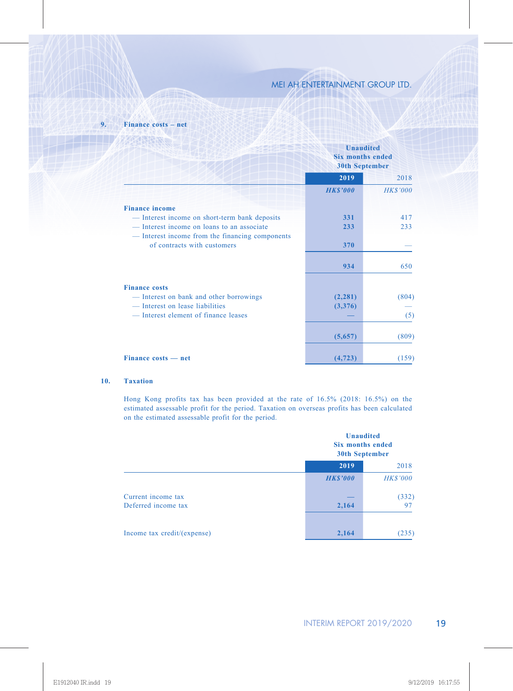**9. Finance costs – net**

|                                                 | <b>Unaudited</b><br><b>Six months ended</b><br><b>30th September</b> |                 |  |
|-------------------------------------------------|----------------------------------------------------------------------|-----------------|--|
|                                                 | 2019                                                                 | 2018            |  |
|                                                 | <b>HK\$'000</b>                                                      | <b>HK\$'000</b> |  |
| <b>Finance income</b>                           |                                                                      |                 |  |
| — Interest income on short-term bank deposits   | 331                                                                  | 417             |  |
| — Interest income on loans to an associate      | 233                                                                  | 233             |  |
| — Interest income from the financing components |                                                                      |                 |  |
| of contracts with customers                     | 370                                                                  |                 |  |
|                                                 | 934                                                                  | 650             |  |
| <b>Finance costs</b>                            |                                                                      |                 |  |
| - Interest on bank and other borrowings         | (2, 281)                                                             | (804)           |  |
| - Interest on lease liabilities                 | (3,376)                                                              |                 |  |
| - Interest element of finance leases            |                                                                      | (5)             |  |
|                                                 | (5,657)                                                              | (809)           |  |
|                                                 |                                                                      |                 |  |
| Finance costs - net                             | (4, 723)                                                             | (159)           |  |

#### **10. Taxation**

Hong Kong profits tax has been provided at the rate of 16.5% (2018: 16.5%) on the estimated assessable profit for the period. Taxation on overseas profits has been calculated on the estimated assessable profit for the period.

|                             |                 | <b>Unaudited</b><br><b>Six months ended</b><br>30th September |  |  |
|-----------------------------|-----------------|---------------------------------------------------------------|--|--|
|                             | 2019            | 2018                                                          |  |  |
|                             | <b>HK\$'000</b> | <b>HK\$'000</b>                                               |  |  |
| Current income tax          |                 | (332)                                                         |  |  |
| Deferred income tax         | 2,164           | 97                                                            |  |  |
|                             |                 |                                                               |  |  |
| Income tax credit/(expense) | 2,164           | (235)                                                         |  |  |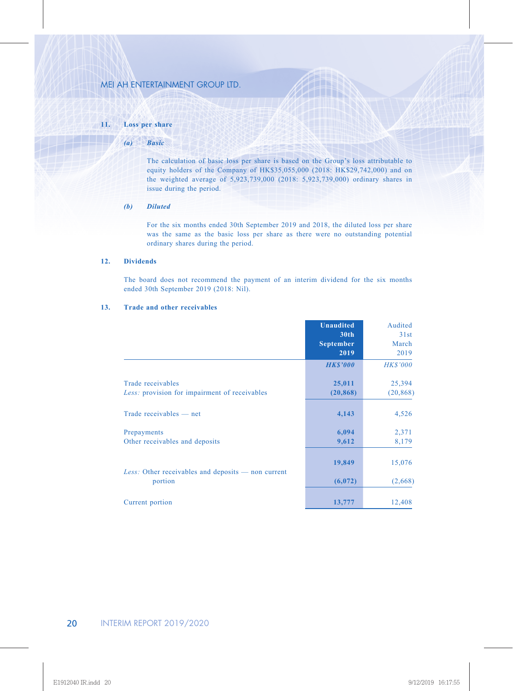#### **11. Loss per share**

#### *(a) Basic*

The calculation of basic loss per share is based on the Group's loss attributable to equity holders of the Company of HK\$35,055,000 (2018: HK\$29,742,000) and on the weighted average of 5,923,739,000 (2018: 5,923,739,000) ordinary shares in issue during the period.

#### *(b) Diluted*

For the six months ended 30th September 2019 and 2018, the diluted loss per share was the same as the basic loss per share as there were no outstanding potential ordinary shares during the period.

#### **12. Dividends**

The board does not recommend the payment of an interim dividend for the six months ended 30th September 2019 (2018: Nil).

#### **13. Trade and other receivables**

|                                                                        | <b>Unaudited</b><br>30th<br><b>September</b><br>2019 | Audited<br>31st<br>March<br>2019 |
|------------------------------------------------------------------------|------------------------------------------------------|----------------------------------|
|                                                                        | <b>HK\$'000</b>                                      | <b>HK\$'000</b>                  |
| Trade receivables<br>Less: provision for impairment of receivables     | 25,011<br>(20, 868)                                  | 25,394<br>(20, 868)              |
| Trade receivables — net                                                | 4,143                                                | 4,526                            |
| Prepayments<br>Other receivables and deposits                          | 6,094<br>9,612                                       | 2,371<br>8,179                   |
| <i>Less:</i> Other receivables and deposits $-$ non current<br>portion | 19,849<br>(6,072)                                    | 15,076<br>(2,668)                |
| Current portion                                                        | 13,777                                               | 12,408                           |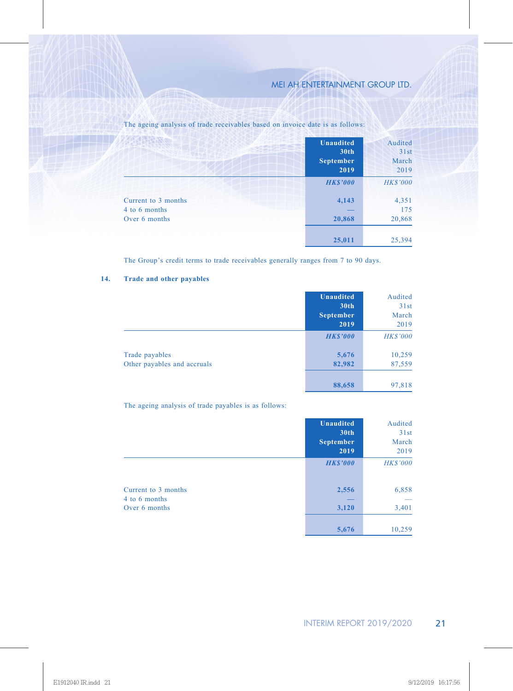|                                      | <b>Unaudited</b><br>30th<br><b>September</b><br>2019 | Audited<br>31st<br>March<br>2019 |
|--------------------------------------|------------------------------------------------------|----------------------------------|
|                                      | <b>HKS'000</b>                                       | <b>HK\$'000</b>                  |
| Current to 3 months<br>4 to 6 months | 4,143                                                | 4,351<br>175                     |
| Over 6 months                        | 20,868                                               | 20,868                           |
|                                      | 25,011                                               | 25,394                           |

The ageing analysis of trade receivables based on invoice date is as follows:

The Group's credit terms to trade receivables generally ranges from 7 to 90 days.

#### **14. Trade and other payables**

|                                               | <b>Unaudited</b><br>30th<br><b>September</b><br>2019 | Audited<br>31st<br>March<br>2019 |
|-----------------------------------------------|------------------------------------------------------|----------------------------------|
|                                               | <b>HK\$'000</b>                                      | <b>HK\$'000</b>                  |
| Trade payables<br>Other payables and accruals | 5,676<br>82,982                                      | 10,259<br>87,559                 |
|                                               | 88,658                                               | 97,818                           |

The ageing analysis of trade payables is as follows:

|                                      | <b>Unaudited</b><br>30th<br><b>September</b><br>2019 | Audited<br>31st<br>March<br>2019 |
|--------------------------------------|------------------------------------------------------|----------------------------------|
|                                      | <b>HKS'000</b>                                       | <b>HK\$'000</b>                  |
| Current to 3 months<br>4 to 6 months | 2,556                                                | 6,858                            |
| Over 6 months                        | 3,120                                                | 3,401                            |
|                                      | 5,676                                                | 10,259                           |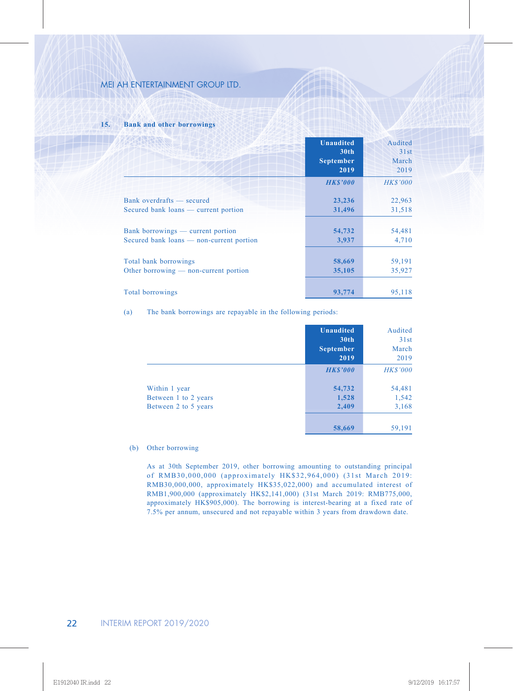#### **15. Bank and other borrowings**

|                                                                   | <b>Unaudited</b><br>30 <sub>th</sub><br><b>September</b><br>2019 | Audited<br>31st<br>March<br>2019 |
|-------------------------------------------------------------------|------------------------------------------------------------------|----------------------------------|
|                                                                   | <b>HKS'000</b>                                                   | <b>HK\$'000</b>                  |
| Bank overdrafts — secured<br>Secured bank loans — current portion | 23,236<br>31,496                                                 | 22,963<br>31,518                 |
|                                                                   |                                                                  |                                  |
| Bank borrowings — current portion                                 | 54,732                                                           | 54,481                           |
| Secured bank loans — non-current portion                          | 3,937                                                            | 4,710                            |
| Total bank borrowings                                             | 58,669                                                           | 59,191                           |
| Other borrowing $-$ non-current portion                           | 35,105                                                           | 35,927                           |
| Total borrowings                                                  | 93,774                                                           | 95,118                           |

(a) The bank borrowings are repayable in the following periods:

|                      | <b>Unaudited</b><br>30th<br><b>September</b><br>2019 | Audited<br>31st<br>March<br>2019 |
|----------------------|------------------------------------------------------|----------------------------------|
|                      | <b>HKS'000</b>                                       | <b>HK\$'000</b>                  |
| Within 1 year        | 54,732                                               | 54,481                           |
| Between 1 to 2 years | 1,528                                                | 1,542                            |
| Between 2 to 5 years | 2,409                                                | 3,168                            |
|                      | 58,669                                               | 59,191                           |

#### (b) Other borrowing

As at 30th September 2019, other borrowing amounting to outstanding principal of RMB30,000,000 (approximately HK\$32,964,000) (31st March 2019: RMB30,000,000, approximately HK\$35,022,000) and accumulated interest of RMB1,900,000 (approximately HK\$2,141,000) (31st March 2019: RMB775,000, approximately HK\$905,000). The borrowing is interest-bearing at a fixed rate of 7.5% per annum, unsecured and not repayable within 3 years from drawdown date.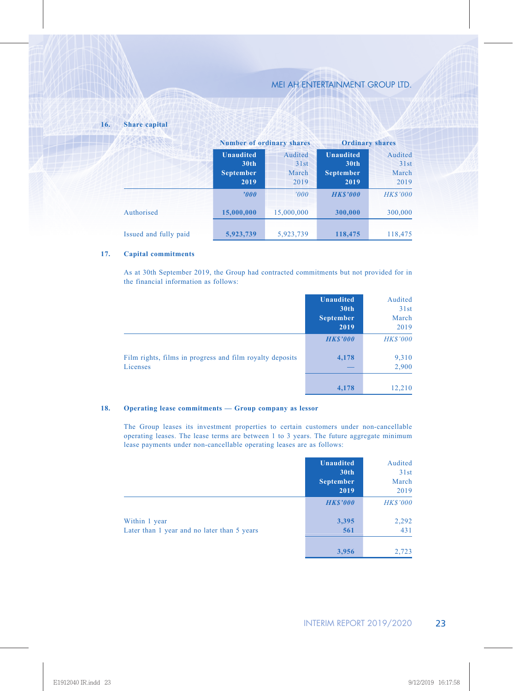#### **16. Share capital**

|                       |                  | <b>Number of ordinary shares</b> |                  | <b>Ordinary shares</b> |  |  |
|-----------------------|------------------|----------------------------------|------------------|------------------------|--|--|
|                       | <b>Unaudited</b> | Audited                          | <b>Unaudited</b> | Audited                |  |  |
|                       | 30 <sub>th</sub> | 31st                             | 30 <sub>th</sub> | 31st                   |  |  |
|                       | <b>September</b> | March                            | <b>September</b> | March                  |  |  |
|                       | 2019             | 2019                             | 2019             | 2019                   |  |  |
|                       | 000'             | 000'                             | <b>HKS'000</b>   | <b>HK\$'000</b>        |  |  |
| Authorised            | 15,000,000       | 15,000,000                       | 300,000          | 300,000                |  |  |
|                       |                  |                                  |                  |                        |  |  |
| Issued and fully paid | 5,923,739        | 5,923,739                        | 118,475          | 118,475                |  |  |

#### **17. Capital commitments**

As at 30th September 2019, the Group had contracted commitments but not provided for in the financial information as follows:

|                                                                      | <b>Unaudited</b><br>30th<br><b>September</b><br>2019 | Audited<br>31st<br>March<br>2019 |
|----------------------------------------------------------------------|------------------------------------------------------|----------------------------------|
|                                                                      | <b>HK\$'000</b>                                      | <b>HK\$'000</b>                  |
| Film rights, films in progress and film royalty deposits<br>Licenses | 4,178                                                | 9,310<br>2,900                   |
|                                                                      | 4,178                                                | 12,210                           |

#### **18. Operating lease commitments — Group company as lessor**

The Group leases its investment properties to certain customers under non-cancellable operating leases. The lease terms are between 1 to 3 years. The future aggregate minimum lease payments under non-cancellable operating leases are as follows:

|                                                              | <b>Unaudited</b><br>30 <sub>th</sub><br><b>September</b><br>2019 | Audited<br>31st<br>March<br>2019 |
|--------------------------------------------------------------|------------------------------------------------------------------|----------------------------------|
|                                                              | <b>HK\$'000</b>                                                  | <b>HK\$'000</b>                  |
| Within 1 year<br>Later than 1 year and no later than 5 years | 3,395<br>561                                                     | 2,292<br>431                     |
|                                                              | 3,956                                                            | 2.723                            |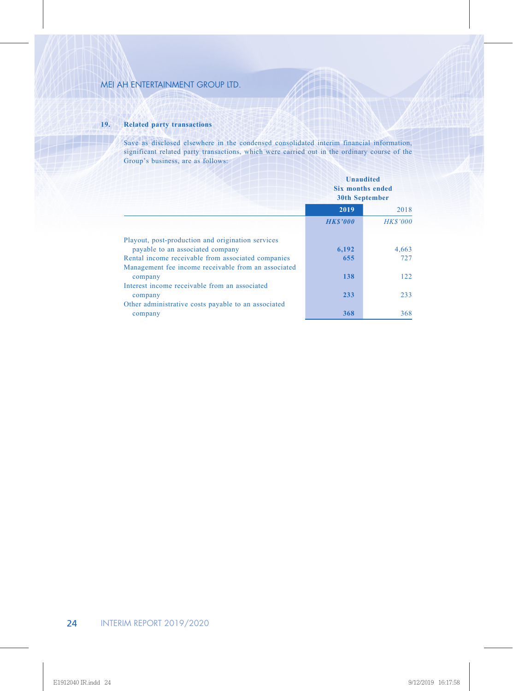### **19. Related party transactions**

Save as disclosed elsewhere in the condensed consolidated interim financial information, significant related party transactions, which were carried out in the ordinary course of the Group's business, are as follows:

|                                                     | <b>Unaudited</b><br>Six months ended<br><b>30th September</b> |                 |
|-----------------------------------------------------|---------------------------------------------------------------|-----------------|
|                                                     | 2019                                                          | 2018            |
|                                                     | <b>HKS'000</b>                                                | <b>HK\$'000</b> |
| Playout, post-production and origination services   |                                                               |                 |
| payable to an associated company                    | 6,192                                                         | 4,663           |
| Rental income receivable from associated companies  | 655                                                           | 727             |
| Management fee income receivable from an associated |                                                               |                 |
| company                                             | 138                                                           | 122             |
| Interest income receivable from an associated       |                                                               |                 |
| company                                             | 233                                                           | 233             |
| Other administrative costs payable to an associated |                                                               |                 |
| company                                             | 368                                                           | 368             |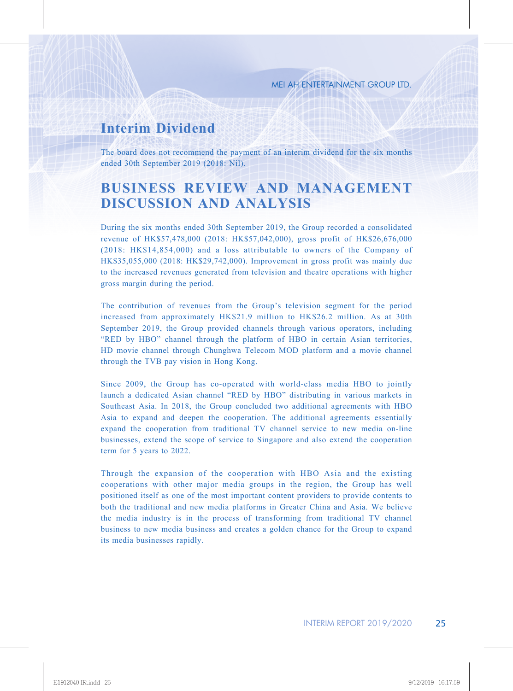## **Interim Dividend**

The board does not recommend the payment of an interim dividend for the six months ended 30th September 2019 (2018: Nil).

# **BUSINESS REVIEW AND MANAGEMENT DISCUSSION AND ANALYSIS**

During the six months ended 30th September 2019, the Group recorded a consolidated revenue of HK\$57,478,000 (2018: HK\$57,042,000), gross profit of HK\$26,676,000 (2018: HK\$14,854,000) and a loss attributable to owners of the Company of HK\$35,055,000 (2018: HK\$29,742,000). Improvement in gross profit was mainly due to the increased revenues generated from television and theatre operations with higher gross margin during the period.

The contribution of revenues from the Group's television segment for the period increased from approximately HK\$21.9 million to HK\$26.2 million. As at 30th September 2019, the Group provided channels through various operators, including "RED by HBO" channel through the platform of HBO in certain Asian territories, HD movie channel through Chunghwa Telecom MOD platform and a movie channel through the TVB pay vision in Hong Kong.

Since 2009, the Group has co-operated with world-class media HBO to jointly launch a dedicated Asian channel "RED by HBO" distributing in various markets in Southeast Asia. In 2018, the Group concluded two additional agreements with HBO Asia to expand and deepen the cooperation. The additional agreements essentially expand the cooperation from traditional TV channel service to new media on-line businesses, extend the scope of service to Singapore and also extend the cooperation term for 5 years to 2022.

Through the expansion of the cooperation with HBO Asia and the existing cooperations with other major media groups in the region, the Group has well positioned itself as one of the most important content providers to provide contents to both the traditional and new media platforms in Greater China and Asia. We believe the media industry is in the process of transforming from traditional TV channel business to new media business and creates a golden chance for the Group to expand its media businesses rapidly.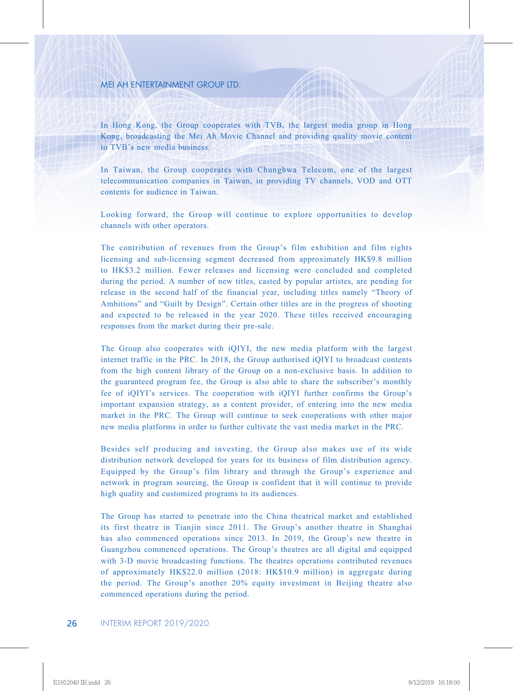In Hong Kong, the Group cooperates with TVB, the largest media group in Hong Kong, broadcasting the Mei Ah Movie Channel and providing quality movie content to TVB's new media business.

In Taiwan, the Group cooperates with Chunghwa Telecom, one of the largest telecommunication companies in Taiwan, in providing TV channels, VOD and OTT contents for audience in Taiwan.

Looking forward, the Group will continue to explore opportunities to develop channels with other operators.

The contribution of revenues from the Group's film exhibition and film rights licensing and sub-licensing segment decreased from approximately HK\$9.8 million to HK\$3.2 million. Fewer releases and licensing were concluded and completed during the period. A number of new titles, casted by popular artistes, are pending for release in the second half of the financial year, including titles namely "Theory of Ambitions" and "Guilt by Design". Certain other titles are in the progress of shooting and expected to be released in the year 2020. These titles received encouraging responses from the market during their pre-sale.

The Group also cooperates with iQIYI, the new media platform with the largest internet traffic in the PRC. In 2018, the Group authorised iQIYI to broadcast contents from the high content library of the Group on a non-exclusive basis. In addition to the guaranteed program fee, the Group is also able to share the subscriber's monthly fee of iQIYI's services. The cooperation with iQIYI further confirms the Group's important expansion strategy, as a content provider, of entering into the new media market in the PRC. The Group will continue to seek cooperations with other major new media platforms in order to further cultivate the vast media market in the PRC.

Besides self producing and investing, the Group also makes use of its wide distribution network developed for years for its business of film distribution agency. Equipped by the Group's film library and through the Group's experience and network in program sourcing, the Group is confident that it will continue to provide high quality and customized programs to its audiences.

The Group has started to penetrate into the China theatrical market and established its first theatre in Tianjin since 2011. The Group's another theatre in Shanghai has also commenced operations since 2013. In 2019, the Group's new theatre in Guangzhou commenced operations. The Group's theatres are all digital and equipped with 3-D movie broadcasting functions. The theatres operations contributed revenues of approximately HK\$22.0 million (2018: HK\$10.9 million) in aggregate during the period. The Group's another 20% equity investment in Beijing theatre also commenced operations during the period.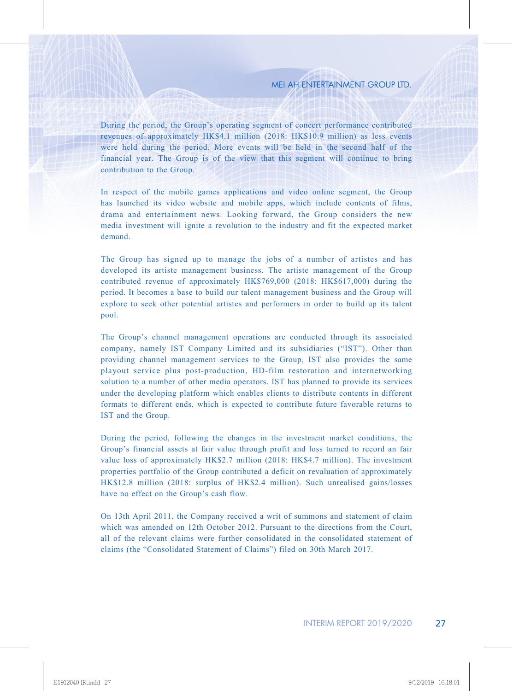During the period, the Group's operating segment of concert performance contributed revenues of approximately HK\$4.1 million (2018: HK\$10.9 million) as less events were held during the period. More events will be held in the second half of the financial year. The Group is of the view that this segment will continue to bring contribution to the Group.

In respect of the mobile games applications and video online segment, the Group has launched its video website and mobile apps, which include contents of films, drama and entertainment news. Looking forward, the Group considers the new media investment will ignite a revolution to the industry and fit the expected market demand.

The Group has signed up to manage the jobs of a number of artistes and has developed its artiste management business. The artiste management of the Group contributed revenue of approximately HK\$769,000 (2018: HK\$617,000) during the period. It becomes a base to build our talent management business and the Group will explore to seek other potential artistes and performers in order to build up its talent pool.

The Group's channel management operations are conducted through its associated company, namely IST Company Limited and its subsidiaries ("IST"). Other than providing channel management services to the Group, IST also provides the same playout service plus post-production, HD-film restoration and internetworking solution to a number of other media operators. IST has planned to provide its services under the developing platform which enables clients to distribute contents in different formats to different ends, which is expected to contribute future favorable returns to IST and the Group.

During the period, following the changes in the investment market conditions, the Group's financial assets at fair value through profit and loss turned to record an fair value loss of approximately HK\$2.7 million (2018: HK\$4.7 million). The investment properties portfolio of the Group contributed a deficit on revaluation of approximately HK\$12.8 million (2018: surplus of HK\$2.4 million). Such unrealised gains/losses have no effect on the Group's cash flow.

On 13th April 2011, the Company received a writ of summons and statement of claim which was amended on 12th October 2012. Pursuant to the directions from the Court, all of the relevant claims were further consolidated in the consolidated statement of claims (the "Consolidated Statement of Claims") filed on 30th March 2017.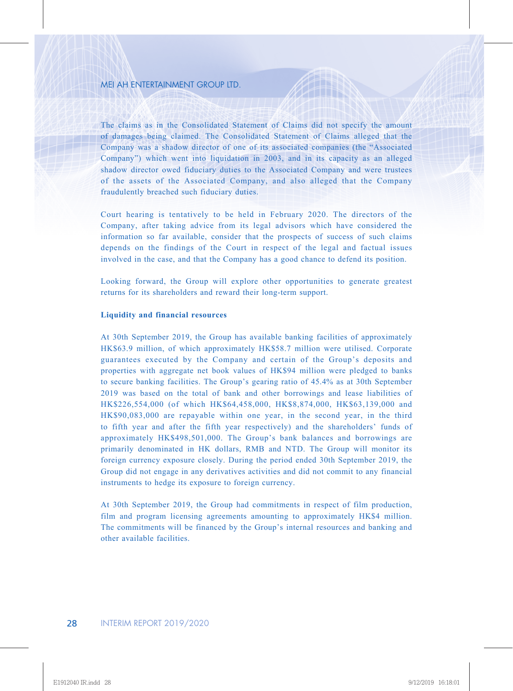The claims as in the Consolidated Statement of Claims did not specify the amount of damages being claimed. The Consolidated Statement of Claims alleged that the Company was a shadow director of one of its associated companies (the "Associated Company") which went into liquidation in 2003, and in its capacity as an alleged shadow director owed fiduciary duties to the Associated Company and were trustees of the assets of the Associated Company, and also alleged that the Company fraudulently breached such fiduciary duties.

Court hearing is tentatively to be held in February 2020. The directors of the Company, after taking advice from its legal advisors which have considered the information so far available, consider that the prospects of success of such claims depends on the findings of the Court in respect of the legal and factual issues involved in the case, and that the Company has a good chance to defend its position.

Looking forward, the Group will explore other opportunities to generate greatest returns for its shareholders and reward their long-term support.

#### **Liquidity and financial resources**

At 30th September 2019, the Group has available banking facilities of approximately HK\$63.9 million, of which approximately HK\$58.7 million were utilised. Corporate guarantees executed by the Company and certain of the Group's deposits and properties with aggregate net book values of HK\$94 million were pledged to banks to secure banking facilities. The Group's gearing ratio of 45.4% as at 30th September 2019 was based on the total of bank and other borrowings and lease liabilities of HK\$226,554,000 (of which HK\$64,458,000, HK\$8,874,000, HK\$63,139,000 and HK\$90,083,000 are repayable within one year, in the second year, in the third to fifth year and after the fifth year respectively) and the shareholders' funds of approximately HK\$498,501,000. The Group's bank balances and borrowings are primarily denominated in HK dollars, RMB and NTD. The Group will monitor its foreign currency exposure closely. During the period ended 30th September 2019, the Group did not engage in any derivatives activities and did not commit to any financial instruments to hedge its exposure to foreign currency.

At 30th September 2019, the Group had commitments in respect of film production, film and program licensing agreements amounting to approximately HK\$4 million. The commitments will be financed by the Group's internal resources and banking and other available facilities.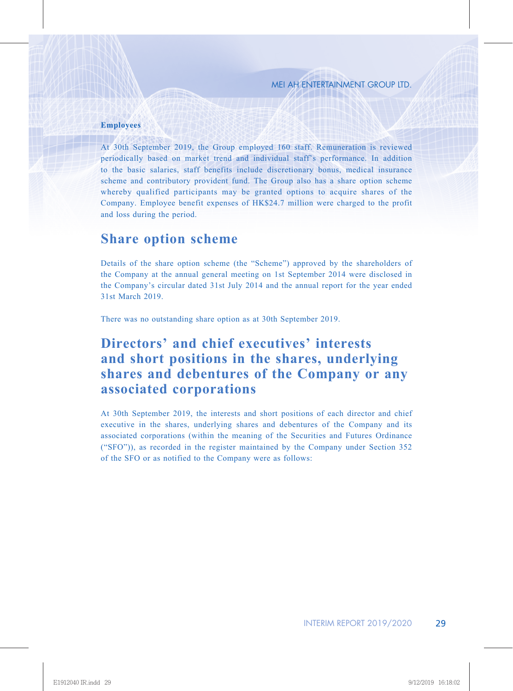#### **Employees**

At 30th September 2019, the Group employed 160 staff. Remuneration is reviewed periodically based on market trend and individual staff's performance. In addition to the basic salaries, staff benefits include discretionary bonus, medical insurance scheme and contributory provident fund. The Group also has a share option scheme whereby qualified participants may be granted options to acquire shares of the Company. Employee benefit expenses of HK\$24.7 million were charged to the profit and loss during the period.

## **Share option scheme**

Details of the share option scheme (the "Scheme") approved by the shareholders of the Company at the annual general meeting on 1st September 2014 were disclosed in the Company's circular dated 31st July 2014 and the annual report for the year ended 31st March 2019.

There was no outstanding share option as at 30th September 2019.

## **Directors' and chief executives' interests and short positions in the shares, underlying shares and debentures of the Company or any associated corporations**

At 30th September 2019, the interests and short positions of each director and chief executive in the shares, underlying shares and debentures of the Company and its associated corporations (within the meaning of the Securities and Futures Ordinance ("SFO")), as recorded in the register maintained by the Company under Section 352 of the SFO or as notified to the Company were as follows: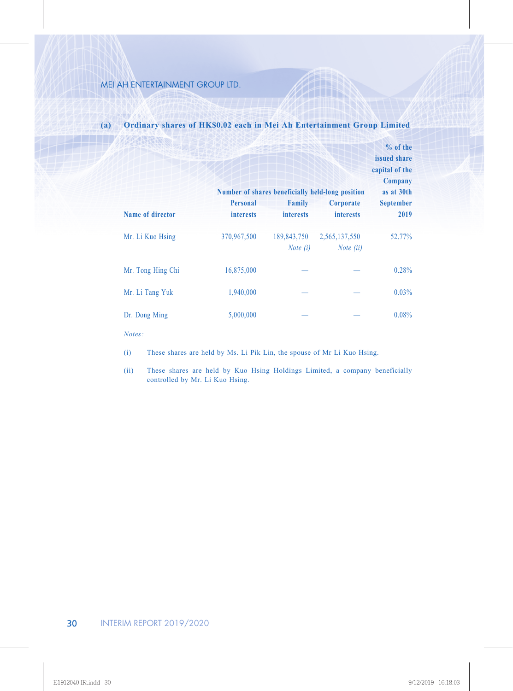|  |  |  |  |  |  | (a) Ordinary shares of HK\$0.02 each in Mei Ah Entertainment Group Limited |  |  |
|--|--|--|--|--|--|----------------------------------------------------------------------------|--|--|
|--|--|--|--|--|--|----------------------------------------------------------------------------|--|--|

|                         |                  |                                  | Number of shares beneficially held-long position | $%$ of the<br>issued share<br>capital of the<br>Company<br>as at 30th |
|-------------------------|------------------|----------------------------------|--------------------------------------------------|-----------------------------------------------------------------------|
|                         | <b>Personal</b>  | <b>Family</b>                    | Corporate                                        | <b>September</b>                                                      |
| <b>Name of director</b> | <i>interests</i> | <i>interests</i>                 | <i>interests</i>                                 | 2019                                                                  |
| Mr. Li Kuo Hsing        | 370,967,500      | 189,843,750<br><i>Note</i> $(i)$ | 2,565,137,550<br>Note (ii)                       | 52.77%                                                                |
| Mr. Tong Hing Chi       | 16,875,000       |                                  |                                                  | 0.28%                                                                 |
| Mr. Li Tang Yuk         | 1,940,000        |                                  |                                                  | 0.03%                                                                 |
| Dr. Dong Ming           | 5,000,000        |                                  |                                                  | 0.08%                                                                 |

*Notes:*

(i) These shares are held by Ms. Li Pik Lin, the spouse of Mr Li Kuo Hsing.

(ii) These shares are held by Kuo Hsing Holdings Limited, a company beneficially controlled by Mr. Li Kuo Hsing.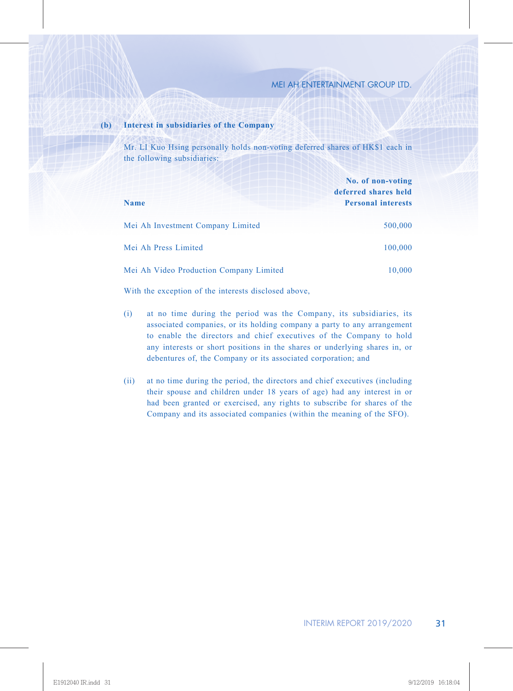#### **(b) Interest in subsidiaries of the Company**

Mr. LI Kuo Hsing personally holds non-voting deferred shares of HK\$1 each in the following subsidiaries:

| <b>Name</b>                             | No. of non-voting<br>deferred shares held<br><b>Personal interests</b> |
|-----------------------------------------|------------------------------------------------------------------------|
| Mei Ah Investment Company Limited       | 500,000                                                                |
| Mei Ah Press Limited                    | 100,000                                                                |
| Mei Ah Video Production Company Limited | 10,000                                                                 |

With the exception of the interests disclosed above,

- (i) at no time during the period was the Company, its subsidiaries, its associated companies, or its holding company a party to any arrangement to enable the directors and chief executives of the Company to hold any interests or short positions in the shares or underlying shares in, or debentures of, the Company or its associated corporation; and
- (ii) at no time during the period, the directors and chief executives (including their spouse and children under 18 years of age) had any interest in or had been granted or exercised, any rights to subscribe for shares of the Company and its associated companies (within the meaning of the SFO).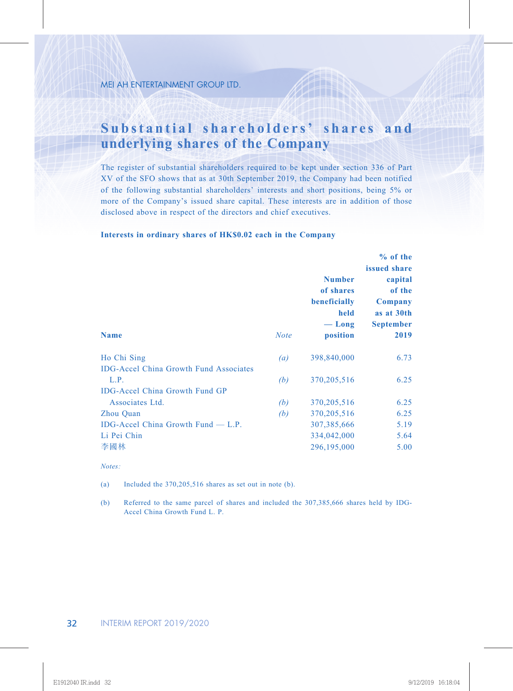# **Substantial shareholders' shares and underlying shares of the Company**

The register of substantial shareholders required to be kept under section 336 of Part XV of the SFO shows that as at 30th September 2019, the Company had been notified of the following substantial shareholders' interests and short positions, being 5% or more of the Company's issued share capital. These interests are in addition of those disclosed above in respect of the directors and chief executives.

#### **Interests in ordinary shares of HK\$0.02 each in the Company**

|             |                                                                               | % of the<br>issued share<br>capital<br>of the<br>Company<br>as at 30th<br><b>September</b> |
|-------------|-------------------------------------------------------------------------------|--------------------------------------------------------------------------------------------|
|             |                                                                               |                                                                                            |
|             | <b>Number</b><br>of shares<br>beneficially<br>held<br>$-\mathop{\text{Long}}$ |                                                                                            |
| <b>Note</b> | position                                                                      | 2019                                                                                       |
| (a)         | 398,840,000                                                                   | 6.73                                                                                       |
|             |                                                                               |                                                                                            |
| (b)         | 370, 205, 516                                                                 | 6.25                                                                                       |
|             |                                                                               |                                                                                            |
| (b)         | 370, 205, 516                                                                 | 6.25                                                                                       |
| (b)         | 370, 205, 516                                                                 | 6.25                                                                                       |
|             | 307, 385, 666                                                                 | 5.19                                                                                       |
|             | 334,042,000                                                                   | 5.64                                                                                       |
|             | 296,195,000                                                                   | 5.00                                                                                       |
|             |                                                                               |                                                                                            |

#### *Notes:*

(a) Included the 370,205,516 shares as set out in note (b).

(b) Referred to the same parcel of shares and included the 307,385,666 shares held by IDG-Accel China Growth Fund L. P.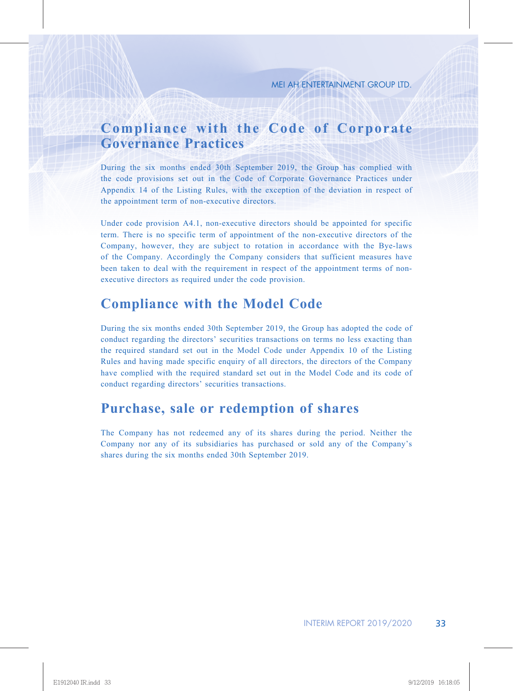## **Compliance with the Code of Corporate Governance Practices**

During the six months ended 30th September 2019, the Group has complied with the code provisions set out in the Code of Corporate Governance Practices under Appendix 14 of the Listing Rules, with the exception of the deviation in respect of the appointment term of non-executive directors.

Under code provision A4.1, non-executive directors should be appointed for specific term. There is no specific term of appointment of the non-executive directors of the Company, however, they are subject to rotation in accordance with the Bye-laws of the Company. Accordingly the Company considers that sufficient measures have been taken to deal with the requirement in respect of the appointment terms of nonexecutive directors as required under the code provision.

## **Compliance with the Model Code**

During the six months ended 30th September 2019, the Group has adopted the code of conduct regarding the directors' securities transactions on terms no less exacting than the required standard set out in the Model Code under Appendix 10 of the Listing Rules and having made specific enquiry of all directors, the directors of the Company have complied with the required standard set out in the Model Code and its code of conduct regarding directors' securities transactions.

## **Purchase, sale or redemption of shares**

The Company has not redeemed any of its shares during the period. Neither the Company nor any of its subsidiaries has purchased or sold any of the Company's shares during the six months ended 30th September 2019.